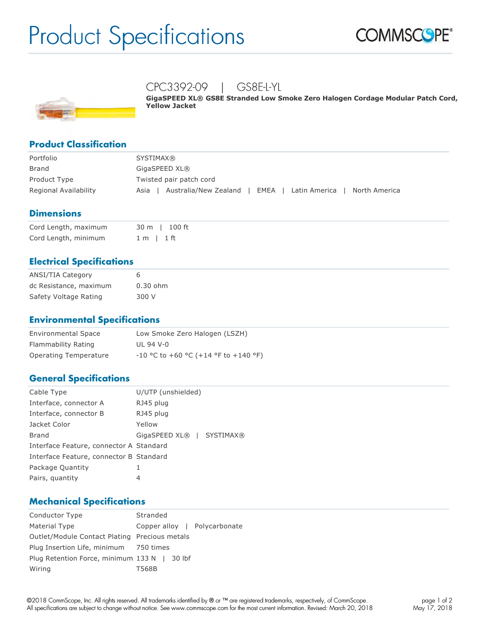# Product Specifications





# CPC3392-09 | GS8E-L-YL

**GigaSPEED XL® GS8E Stranded Low Smoke Zero Halogen Cordage Modular Patch Cord, Yellow Jacket**

# **Product Classification**

| Portfolio             | <b>SYSTIMAX®</b>                                                        |  |
|-----------------------|-------------------------------------------------------------------------|--|
| Brand                 | GigaSPEED XL®                                                           |  |
| Product Type          | Twisted pair patch cord                                                 |  |
| Regional Availability | Australia/New Zealand<br>North America<br>Latin America<br>EMEA<br>Asia |  |

#### **Dimensions**

| Cord Length, maximum | 30 m l 100 ft  |
|----------------------|----------------|
| Cord Length, minimum | $1 m$   $1 ft$ |

## **Electrical Specifications**

| <b>ANSI/TIA Category</b> | 6          |
|--------------------------|------------|
| dc Resistance, maximum   | $0.30$ ohm |
| Safety Voltage Rating    | 300 V      |

## **Environmental Specifications**

| <b>Environmental Space</b> | Low Smoke Zero Halogen (LSZH)          |  |
|----------------------------|----------------------------------------|--|
| Flammability Rating        | UL 94 V-0                              |  |
| Operating Temperature      | $-10$ °C to +60 °C (+14 °F to +140 °F) |  |

#### **General Specifications**

| Cable Type                              | U/UTP (unshielded)        |
|-----------------------------------------|---------------------------|
| Interface, connector A                  | RJ45 plug                 |
| Interface, connector B                  | RJ45 plug                 |
| Jacket Color                            | Yellow                    |
| Brand                                   | GigaSPEED XL®   SYSTIMAX® |
| Interface Feature, connector A Standard |                           |
| Interface Feature, connector B Standard |                           |
| Package Quantity                        | 1                         |
| Pairs, quantity                         | 4                         |
|                                         |                           |

#### **Mechanical Specifications**

| Conductor Type                                | Stranded                     |  |  |
|-----------------------------------------------|------------------------------|--|--|
| Material Type                                 | Copper alloy   Polycarbonate |  |  |
| Outlet/Module Contact Plating Precious metals |                              |  |  |
| Plug Insertion Life, minimum 750 times        |                              |  |  |
| Plug Retention Force, minimum 133 N   30 lbf  |                              |  |  |
| Wiring                                        | T568B                        |  |  |